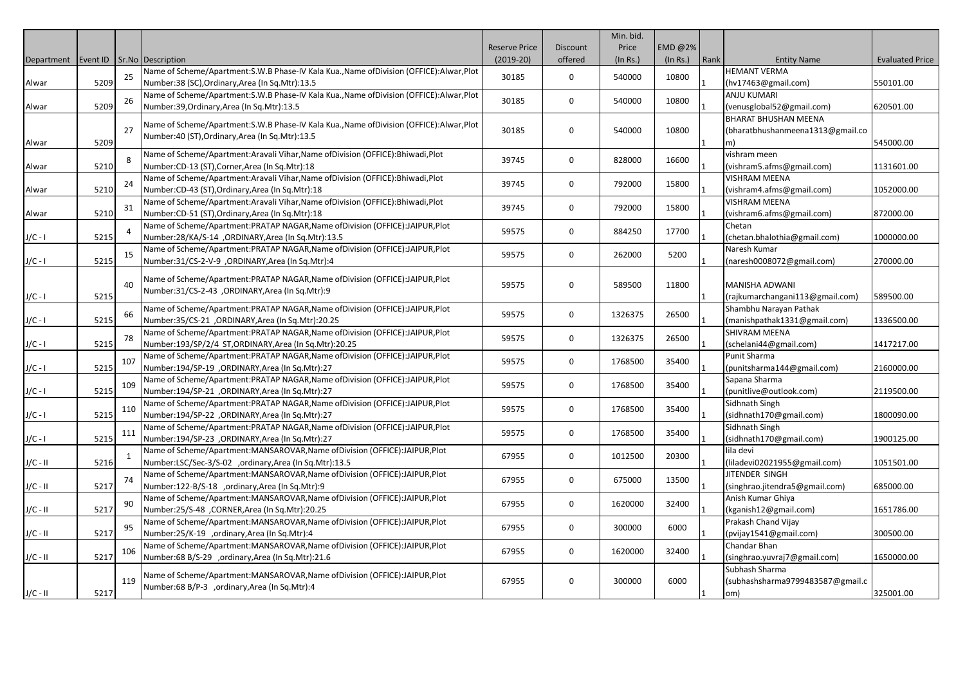|                                              |      |     |                                                                                           |                      |              | Min. bid. |          |              |                                  |                        |
|----------------------------------------------|------|-----|-------------------------------------------------------------------------------------------|----------------------|--------------|-----------|----------|--------------|----------------------------------|------------------------|
|                                              |      |     |                                                                                           | <b>Reserve Price</b> | Discount     | Price     | EMD @2%  |              |                                  |                        |
| Department   Event ID   Sr. No   Description |      |     |                                                                                           | $(2019-20)$          | offered      | (In Rs.)  | (In Rs.) | Rank         | <b>Entity Name</b>               | <b>Evaluated Price</b> |
|                                              |      | 25  | Name of Scheme/Apartment:S.W.B Phase-IV Kala Kua., Name of Division (OFFICE): Alwar, Plot |                      |              |           |          |              | <b>HEMANT VERMA</b>              |                        |
| Alwar                                        | 5209 |     | Number:38 (SC), Ordinary, Area (In Sq. Mtr):13.5                                          | 30185                | $\mathbf 0$  | 540000    | 10800    |              | (hv17463@gmail.com)              | 550101.00              |
|                                              |      | 26  | Name of Scheme/Apartment:S.W.B Phase-IV Kala Kua., Name of Division (OFFICE): Alwar, Plot |                      | $\mathbf 0$  | 540000    | 10800    |              | ANJU KUMARI                      |                        |
| Alwar                                        | 5209 |     | Number:39, Ordinary, Area (In Sq. Mtr):13.5                                               | 30185                |              |           |          |              | (venusglobal52@gmail.com)        | 620501.00              |
|                                              |      |     |                                                                                           |                      |              |           |          |              | <b>BHARAT BHUSHAN MEENA</b>      |                        |
|                                              |      | 27  | Name of Scheme/Apartment:S.W.B Phase-IV Kala Kua., Name of Division (OFFICE): Alwar, Plot | 30185                | $\Omega$     | 540000    | 10800    |              | (bharatbhushanmeena1313@gmail.co |                        |
| Alwar                                        | 5209 |     | Number:40 (ST), Ordinary, Area (In Sq. Mtr):13.5                                          |                      |              |           |          |              | m).                              | 545000.00              |
|                                              |      | 8   | Name of Scheme/Apartment:Aravali Vihar,Name ofDivision (OFFICE):Bhiwadi,Plot              |                      |              |           |          |              | vishram meen                     |                        |
| Alwar                                        | 5210 |     | Number:CD-13 (ST), Corner, Area (In Sq.Mtr):18                                            | 39745                | $\mathbf 0$  | 828000    | 16600    |              | (vishram5.afms@gmail.com)        | 1131601.00             |
|                                              |      |     | Name of Scheme/Apartment:Aravali Vihar,Name ofDivision (OFFICE):Bhiwadi,Plot              |                      | $\mathbf 0$  |           |          |              | <b>VISHRAM MEENA</b>             |                        |
| Alwar                                        | 5210 | 24  | Number:CD-43 (ST), Ordinary, Area (In Sq.Mtr):18                                          | 39745                |              | 792000    | 15800    |              | (vishram4.afms@gmail.com)        | 1052000.00             |
|                                              |      |     | Name of Scheme/Apartment:Aravali Vihar,Name ofDivision (OFFICE):Bhiwadi,Plot              |                      | $\mathbf 0$  |           |          |              | <b>VISHRAM MEENA</b>             |                        |
| Alwar                                        | 5210 | 31  | Number:CD-51 (ST), Ordinary, Area (In Sq.Mtr):18                                          | 39745                |              | 792000    | 15800    |              | (vishram6.afms@gmail.com)        | 872000.00              |
|                                              |      |     | Name of Scheme/Apartment:PRATAP NAGAR,Name ofDivision (OFFICE):JAIPUR,Plot                | 59575                | $\mathbf 0$  | 884250    | 17700    |              | Chetan                           |                        |
| $J/C - I$                                    | 5215 |     | Number:28/KA/S-14 , ORDINARY, Area (In Sq.Mtr):13.5                                       |                      |              |           |          |              | (chetan.bhalothia@gmail.com)     | 1000000.00             |
|                                              |      | 15  | Name of Scheme/Apartment:PRATAP NAGAR, Name of Division (OFFICE):JAIPUR, Plot             | 59575                | $\mathbf 0$  | 262000    | 5200     |              | Naresh Kumar                     |                        |
| $J/C - I$                                    | 5215 |     | Number:31/CS-2-V-9, ORDINARY, Area (In Sq. Mtr):4                                         |                      |              |           |          |              | (naresh0008072@gmail.com)        | 270000.00              |
|                                              |      |     | Name of Scheme/Apartment: PRATAP NAGAR, Name of Division (OFFICE): JAIPUR, Plot           |                      |              |           |          |              |                                  |                        |
|                                              |      | 40  | Number:31/CS-2-43 ,ORDINARY,Area (In Sq.Mtr):9                                            | 59575                | 0            | 589500    | 11800    |              | MANISHA ADWANI                   |                        |
| $J/C - I$                                    | 5215 |     |                                                                                           |                      |              |           |          |              | (rajkumarchangani113@gmail.com)  | 589500.00              |
|                                              |      | 66  | Name of Scheme/Apartment:PRATAP NAGAR,Name ofDivision (OFFICE):JAIPUR,Plot                |                      | $\mathbf 0$  | 1326375   | 26500    |              | Shambhu Narayan Pathak           |                        |
| $J/C - I$                                    | 5215 |     | Number:35/CS-21 ,ORDINARY,Area (In Sq.Mtr):20.25                                          | 59575                |              |           |          |              | (manishpathak1331@gmail.com)     | 1336500.00             |
|                                              |      | 78  | Name of Scheme/Apartment: PRATAP NAGAR, Name of Division (OFFICE): JAIPUR, Plot           | 59575                | 0            | 1326375   | 26500    |              | SHIVRAM MEENA                    |                        |
| $J/C - I$                                    | 5215 |     | Number:193/SP/2/4 ST,ORDINARY,Area (In Sq.Mtr):20.25                                      |                      |              |           |          |              | (schelani44@gmail.com)           | 1417217.00             |
|                                              |      | 107 | Name of Scheme/Apartment:PRATAP NAGAR, Name of Division (OFFICE):JAIPUR, Plot             | 59575                | $\mathbf 0$  | 1768500   | 35400    |              | Punit Sharma                     |                        |
| $J/C - I$                                    | 5215 |     | Number:194/SP-19 , ORDINARY, Area (In Sq.Mtr):27                                          |                      |              |           |          |              | (punitsharma144@gmail.com)       | 2160000.00             |
|                                              |      | 109 | Name of Scheme/Apartment:PRATAP NAGAR, Name of Division (OFFICE):JAIPUR, Plot             | 59575                | $\mathsf{o}$ | 1768500   | 35400    |              | Sapana Sharma                    |                        |
| $J/C - I$                                    | 5215 |     | Number:194/SP-21 , ORDINARY, Area (In Sq. Mtr):27                                         |                      |              |           |          |              | (punitlive@outlook.com)          | 2119500.00             |
|                                              |      | 110 | Name of Scheme/Apartment:PRATAP NAGAR, Name of Division (OFFICE):JAIPUR, Plot             | 59575                | $\mathbf 0$  | 1768500   | 35400    |              | Sidhnath Singh                   |                        |
| $J/C - I$                                    | 5215 |     | Number:194/SP-22 ,ORDINARY,Area (In Sq.Mtr):27                                            |                      |              |           |          |              | (sidhnath170@gmail.com)          | 1800090.00             |
|                                              |      | 111 | Name of Scheme/Apartment:PRATAP NAGAR, Name of Division (OFFICE):JAIPUR, Plot             | 59575                | $\mathbf 0$  | 1768500   | 35400    |              | Sidhnath Singh                   |                        |
| $J/C - I$                                    | 5215 |     | Number:194/SP-23 , ORDINARY, Area (In Sq.Mtr):27                                          |                      |              |           |          |              | (sidhnath170@gmail.com)          | 1900125.00             |
|                                              |      | -1  | Name of Scheme/Apartment:MANSAROVAR,Name of Division (OFFICE):JAIPUR,Plot                 | 67955                | $\mathsf{o}$ | 1012500   | 20300    |              | lila devi                        |                        |
| $J/C - II$                                   | 5216 |     | Number:LSC/Sec-3/S-02 ,ordinary,Area (In Sq.Mtr):13.5                                     |                      |              |           |          |              | (liladevi02021955@gmail.com)     | 1051501.00             |
|                                              |      | -74 | Name of Scheme/Apartment:MANSAROVAR,Name ofDivision (OFFICE):JAIPUR,Plot                  | 67955                | $\mathbf 0$  | 675000    | 13500    |              | JITENDER SINGH                   |                        |
| $J/C - II$                                   | 5217 |     | Number:122-B/S-18, ordinary, Area (In Sq.Mtr):9                                           |                      |              |           |          |              | (singhrao.jitendra5@gmail.com)   | 685000.00              |
|                                              |      | 90  | Name of Scheme/Apartment:MANSAROVAR,Name ofDivision (OFFICE):JAIPUR,Plot                  | 67955                | $\mathbf 0$  | 1620000   | 32400    |              | Anish Kumar Ghiya                |                        |
| $J/C - II$                                   | 5217 |     | Number:25/S-48 ,CORNER,Area (In Sq.Mtr):20.25                                             |                      |              |           |          |              | (kganish12@gmail.com)            | 1651786.00             |
|                                              |      | 95  | Name of Scheme/Apartment:MANSAROVAR,Name ofDivision (OFFICE):JAIPUR,Plot                  | 67955                | $\mathbf 0$  | 300000    | 6000     |              | Prakash Chand Vijay              |                        |
| $J/C - II$                                   | 5217 |     | Number:25/K-19 ,ordinary,Area (In Sq.Mtr):4                                               |                      |              |           |          |              | (pvijay1541@gmail.com)           | 300500.00              |
|                                              |      | 106 | Name of Scheme/Apartment:MANSAROVAR,Name of Division (OFFICE):JAIPUR,Plot                 | 67955                | $\mathbf 0$  | 1620000   | 32400    |              | Chandar Bhan                     |                        |
| $J/C - II$                                   | 5217 |     | Number:68 B/S-29 ,ordinary,Area (In Sq.Mtr):21.6                                          |                      |              |           |          |              | (singhrao.yuvraj7@gmail.com)     | 1650000.00             |
|                                              |      |     | Name of Scheme/Apartment:MANSAROVAR, Name of Division (OFFICE):JAIPUR, Plot               |                      |              |           |          |              | Subhash Sharma                   |                        |
|                                              |      | 119 | Number:68 B/P-3 ,ordinary,Area (In Sq.Mtr):4                                              | 67955                | $\mathbf 0$  | 300000    | 6000     |              | (subhashsharma9799483587@gmail.c |                        |
| $J/C - II$                                   | 5217 |     |                                                                                           |                      |              |           |          | $\mathbf{1}$ | om)                              | 325001.00              |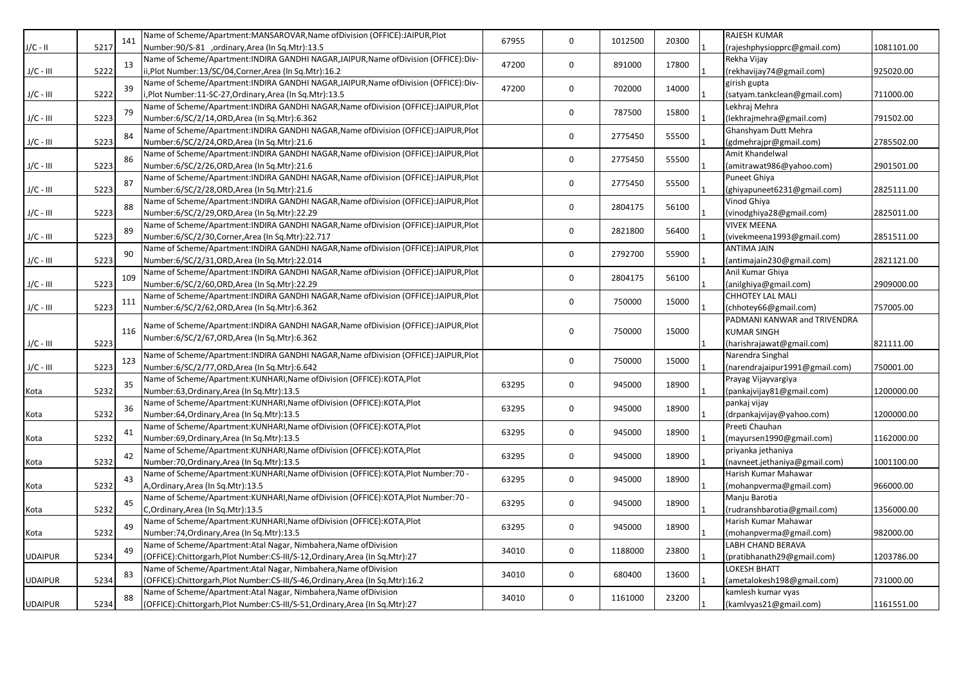|                | 5217 | 141 | Name of Scheme/Apartment:MANSAROVAR,Name ofDivision (OFFICE):JAIPUR,Plot               | 67955 | $\mathbf 0$  | 1012500         | 20300 |  | RAJESH KUMAR                   |            |
|----------------|------|-----|----------------------------------------------------------------------------------------|-------|--------------|-----------------|-------|--|--------------------------------|------------|
| J/C - II       |      |     | Number:90/S-81 ,ordinary,Area (In Sq.Mtr):13.5                                         |       |              |                 |       |  | (rajeshphysiopprc@gmail.com)   | 1081101.00 |
|                |      | 13  | Name of Scheme/Apartment: INDIRA GANDHI NAGAR, JAIPUR, Name of Division (OFFICE): Div- | 47200 | $\mathbf 0$  | 891000          | 17800 |  | Rekha Vijay                    |            |
| $J/C - III$    | 5222 |     | ii,Plot Number:13/SC/04,Corner,Area (In Sq.Mtr):16.2                                   |       |              |                 |       |  | (rekhavijay74@gmail.com)       | 925020.00  |
|                |      | 39  | Name of Scheme/Apartment:INDIRA GANDHI NAGAR, JAIPUR, Name of Division (OFFICE): Div-  | 47200 | $\mathbf 0$  | 702000          | 14000 |  | girish gupta                   |            |
| $J/C - III$    | 5222 |     | i,Plot Number:11-SC-27,Ordinary,Area (In Sq.Mtr):13.5                                  |       |              |                 |       |  | (satyam.tankclean@gmail.com)   | 711000.00  |
|                |      | 79  | Name of Scheme/Apartment:INDIRA GANDHI NAGAR, Name of Division (OFFICE):JAIPUR, Plot   |       | $\mathbf 0$  | 787500          | 15800 |  | Lekhraj Mehra                  |            |
| $J/C - III$    | 5223 |     | Number:6/SC/2/14, ORD, Area (In Sq. Mtr): 6.362                                        |       |              |                 |       |  | (lekhrajmehra@gmail.com)       | 791502.00  |
|                |      | 84  | Name of Scheme/Apartment:INDIRA GANDHI NAGAR, Name of Division (OFFICE):JAIPUR, Plot   |       | 0            | 2775450         | 55500 |  | Ghanshyam Dutt Mehra           |            |
| $J/C - III$    | 5223 |     | Number:6/SC/2/24, ORD, Area (In Sq. Mtr): 21.6                                         |       |              |                 |       |  | (gdmehrajpr@gmail.com)         | 2785502.00 |
|                |      | 86  | Name of Scheme/Apartment: INDIRA GANDHI NAGAR, Name of Division (OFFICE): JAIPUR, Plot |       | $\mathbf 0$  | 2775450         | 55500 |  | Amit Khandelwal                |            |
| $J/C - III$    | 5223 |     | Number:6/SC/2/26, ORD, Area (In Sq. Mtr): 21.6                                         |       |              |                 |       |  | (amitrawat986@yahoo.com)       | 2901501.00 |
|                | 5223 | 87  | Name of Scheme/Apartment: INDIRA GANDHI NAGAR, Name of Division (OFFICE): JAIPUR, Plot |       | $\mathbf 0$  | 2775450         | 55500 |  | Puneet Ghiya                   |            |
| $J/C - III$    |      |     | Number:6/SC/2/28, ORD, Area (In Sq. Mtr): 21.6                                         |       |              |                 |       |  | (ghiyapuneet6231@gmail.com)    | 2825111.00 |
|                |      |     | Name of Scheme/Apartment: INDIRA GANDHI NAGAR, Name of Division (OFFICE): JAIPUR, Plot |       | 0            |                 | 56100 |  | Vinod Ghiya                    |            |
| $J/C - III$    | 5223 | 88  | Number:6/SC/2/29, ORD, Area (In Sq. Mtr): 22.29                                        |       |              | 2804175         |       |  | (vinodghiya28@gmail.com)       | 2825011.00 |
|                |      |     | Name of Scheme/Apartment: INDIRA GANDHI NAGAR, Name of Division (OFFICE): JAIPUR, Plot |       | $\mathbf 0$  | 2821800         |       |  | <b>VIVEK MEENA</b>             |            |
| $J/C - III$    | 5223 | 89  | Number:6/SC/2/30, Corner, Area (In Sq. Mtr): 22.717                                    |       |              |                 | 56400 |  | (vivekmeena1993@gmail.com)     | 2851511.00 |
|                |      | 90  | Name of Scheme/Apartment: INDIRA GANDHI NAGAR, Name of Division (OFFICE): JAIPUR, Plot |       | $\mathbf 0$  | 2792700         |       |  | ANTIMA JAIN                    |            |
| $J/C - III$    | 5223 |     | Number:6/SC/2/31,ORD,Area (In Sq.Mtr):22.014                                           |       |              |                 | 55900 |  | (antimajain230@gmail.com)      | 2821121.00 |
|                |      | 109 | Name of Scheme/Apartment:INDIRA GANDHI NAGAR, Name of Division (OFFICE):JAIPUR, Plot   |       | $\mathbf 0$  | 2804175         | 56100 |  | Anil Kumar Ghiya               |            |
| $J/C - III$    | 5223 |     | Number:6/SC/2/60,ORD,Area (In Sq.Mtr):22.29                                            |       |              |                 |       |  | (anilghiya@gmail.com)          | 2909000.00 |
|                |      | 111 | Name of Scheme/Apartment: INDIRA GANDHI NAGAR, Name of Division (OFFICE): JAIPUR, Plot |       | $\mathbf 0$  | 750000<br>15000 |       |  | <b>CHHOTEY LAL MALI</b>        |            |
| $J/C - III$    | 5223 |     | Number:6/SC/2/62,ORD,Area (In Sq.Mtr):6.362                                            |       |              |                 |       |  | (chhotey66@gmail.com)          | 757005.00  |
|                |      |     | Name of Scheme/Apartment: INDIRA GANDHI NAGAR, Name of Division (OFFICE): JAIPUR, Plot |       |              |                 |       |  | PADMANI KANWAR and TRIVENDRA   |            |
|                | 5223 | 116 | Number:6/SC/2/67, ORD, Area (In Sq. Mtr):6.362                                         |       | $\mathbf 0$  | 750000          | 15000 |  | <b>KUMAR SINGH</b>             |            |
| $J/C - III$    |      |     |                                                                                        |       |              |                 |       |  | (harishrajawat@gmail.com)      | 821111.00  |
|                |      | 123 | Name of Scheme/Apartment: INDIRA GANDHI NAGAR, Name of Division (OFFICE): JAIPUR, Plot |       | $\mathbf 0$  | 750000          | 15000 |  | Narendra Singhal               |            |
| $J/C - III$    | 5223 |     | Number:6/SC/2/77, ORD, Area (In Sq. Mtr): 6.642                                        |       |              |                 |       |  | (narendrajaipur1991@gmail.com) | 750001.00  |
|                |      | 35  | Name of Scheme/Apartment:KUNHARI,Name ofDivision (OFFICE):KOTA,Plot                    | 63295 | 0            | 945000          | 18900 |  | Prayag Vijayvargiya            |            |
| Kota           | 5232 |     | Number:63, Ordinary, Area (In Sq. Mtr):13.5                                            |       |              |                 |       |  | (pankajvijay81@gmail.com)      | 1200000.00 |
| Kota           | 5232 | 36  | Name of Scheme/Apartment: KUNHARI, Name of Division (OFFICE): KOTA, Plot               | 63295 | $\mathsf{O}$ | 945000          | 18900 |  | pankaj vijay                   |            |
|                |      |     | Number:64, Ordinary, Area (In Sq. Mtr):13.5                                            |       |              |                 |       |  | (drpankajvijay@yahoo.com)      | 1200000.00 |
| Kota           | 5232 | 41  | Name of Scheme/Apartment:KUNHARI,Name ofDivision (OFFICE):KOTA,Plot                    | 63295 | $\mathbf 0$  | 945000          | 18900 |  | Preeti Chauhan                 |            |
|                |      |     | Number:69, Ordinary, Area (In Sq. Mtr): 13.5                                           |       |              |                 |       |  | (mayursen1990@gmail.com)       | 1162000.00 |
|                |      | 42  | Name of Scheme/Apartment:KUNHARI,Name ofDivision (OFFICE):KOTA,Plot                    | 63295 | $\mathbf 0$  | 945000          | 18900 |  | priyanka jethaniya             |            |
| Kota           | 5232 |     | Number: 70, Ordinary, Area (In Sq. Mtr): 13.5                                          |       |              |                 |       |  | (navneet.jethaniya@gmail.com)  | 1001100.00 |
|                |      | 43  | Name of Scheme/Apartment:KUNHARI, Name of Division (OFFICE):KOTA, Plot Number:70 -     | 63295 | $\mathsf{O}$ | 945000          | 18900 |  | Harish Kumar Mahawar           |            |
| Kota           | 5232 |     | A, Ordinary, Area (In Sq. Mtr): 13.5                                                   |       |              |                 |       |  | (mohanpverma@gmail.com)        | 966000.00  |
| Kota           | 5232 | 45  | Name of Scheme/Apartment:KUNHARI,Name ofDivision (OFFICE):KOTA,Plot Number:70 -        | 63295 | $\mathbf 0$  | 945000          | 18900 |  | Manju Barotia                  |            |
|                |      |     | C,Ordinary,Area (In Sq.Mtr):13.5                                                       |       |              |                 |       |  | (rudranshbarotia@gmail.com)    | 1356000.00 |
| Kota           |      | 49  | Name of Scheme/Apartment:KUNHARI,Name ofDivision (OFFICE):KOTA,Plot                    | 63295 | $\mathbf 0$  | 945000          | 18900 |  | Harish Kumar Mahawar           |            |
|                | 5232 |     | Number:74, Ordinary, Area (In Sq. Mtr):13.5                                            |       |              |                 |       |  | (mohanpverma@gmail.com)        | 982000.00  |
|                |      | 49  | Name of Scheme/Apartment:Atal Nagar, Nimbahera, Name of Division                       | 34010 | $\Omega$     | 1188000         | 23800 |  | LABH CHAND BERAVA              |            |
| <b>UDAIPUR</b> | 5234 |     | (OFFICE):Chittorgarh,Plot Number:CS-III/S-12,Ordinary,Area (In Sq.Mtr):27              |       |              |                 |       |  | (pratibhanath29@gmail.com)     | 1203786.00 |
|                |      | 83  | Name of Scheme/Apartment:Atal Nagar, Nimbahera, Name of Division                       | 34010 | $\mathbf 0$  | 680400          | 13600 |  | LOKESH BHATT                   |            |
| UDAIPUR        | 5234 |     | (OFFICE):Chittorgarh,Plot Number:CS-III/S-46,Ordinary,Area (In Sq.Mtr):16.2            |       |              |                 |       |  | (ametalokesh198@gmail.com)     | 731000.00  |
|                |      | 88  | Name of Scheme/Apartment:Atal Nagar, Nimbahera, Name of Division                       | 34010 | $\Omega$     | 1161000         | 23200 |  | kamlesh kumar vyas             |            |
| <b>UDAIPUR</b> | 5234 |     | (OFFICE): Chittorgarh, Plot Number: CS-III/S-51, Ordinary, Area (In Sq. Mtr): 27       |       |              |                 |       |  | (kamlvyas21@gmail.com)         | 1161551.00 |